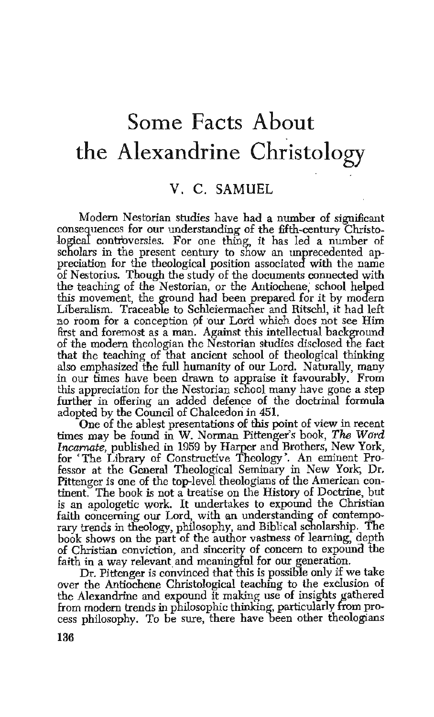## **Some Facts About the Alexandrine Christology**

## V. C. SAMUEL

Modern Nestorian studies have had a number of significant consequences for our understanding of the fifth-century Christological controversies. For one thing, it has led a number of scholars in the present century to show an unprecedented appreciation for the theological position associated with the name of Nestorius. Though the study of the documents connected with the teaching of the Nestorian, or the Antiochene, school helped this movement, the ground had been prepared for it by modern Liberalism. Traceable to Schleiermacher and Ritschl, it had left no room for a conception pf our Lord which does not see Him first and foremost as a man. Against this intellectual background of the modern theologian the Nestorian studies disclosed the fact that the teaching of that ancient school of theological thinking also emphasized the full humanity of our Lord. Naturally, many in our times have been drawn to appraise it favourably, From this appreciation for the Nestorian school many have gone a step further in offering an added defence of the doctrinal formula adopted by the Council of Chalcedon in 451.

One of the ablest presentations of this point of view in recent times may be found in W. Norman Pittenger's book, *The Word Incarnate,* published in 1959 by Harper and Brothers, New York, for 'The Library of Constructive Theology·. An eminent Professor at the General Theological Seminary in New York, Dr. Pittenger is one of the top-level theologians of the American continent. The book is not a treatise on the History of Doctrine, but is an apologetic work. It undertakes to expound the Christian faith concerning our Lord, with an understanding of contemporary trends in theology, philosophy, and Biblical scholarship. The book shows on the part of the author vastness of learning, depth of Christian conviction, and sincerity of concern to expouna the faith in a way relevant and meaningful for our generation.

Dr. Pittenger is convinced that this is possible only if we take over the Antiochene Christological teaching to the exclusion of the Alexandrine and expound it making use of insights gathered from modern trends in philosophic thinking, particularly from process philosophy. To be sure, there have been other theologians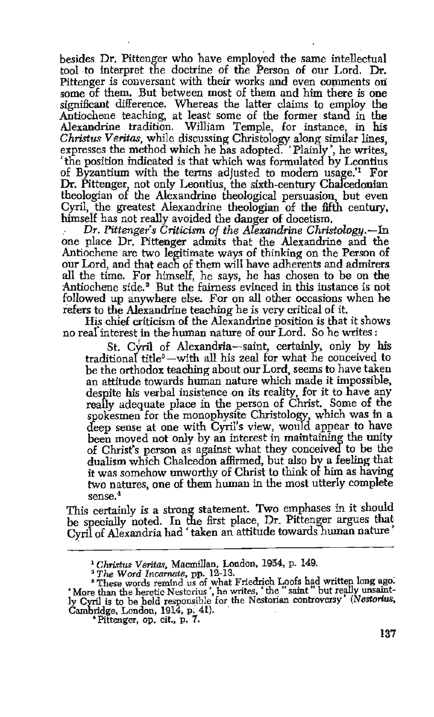besides Dr. Pittenger who have employed the same intellectual tool to interpret the doctrine of the Person of our Lord. Dr. Pittenger is conversant with their works and even comments on some of them. But between most of them and him there *is* one significant difference. Whereas the latter claims to employ the Antiochene teaching, at least some of the former stand in the Alexandrine tradition. William Temple, for instance, in his *Christus V eritas,* while discussing Christology along similar lines, expresses the method which he has adopted. 'Plainly', he writes, 'the position indicated is that which was formulated by Leontius of Byzantium with the tenns adjusted to modem usage.'1 For Dr. Pittenger, not only Leontius, the sixth-century Chalcedonian theologian of the Alexandrine theological persuasion, but even Cyril, the greatest Alexandrine theologian of the fifth century, himself has not really avoided the danger of docetism.

hetally avoided the dimensional the Decetism. *Dr. Pittenger's Criticism of the Alexandrine Christology.*-In one place Dr. Pittenger admits that the Alexandrine and the Antiochene are two legitimate ways of thinking on the Person of our Lord, and that each of them will have adherents and admirers all the time. For himself, he says, he has chosen to be on the Antiochene side.<sup>2</sup> But the fairness evinced in this instance is not followed up anywhere else. For on all other occasions when he refers to the Alexandrine teaching he is very critical of it.

His chief criticism of the Alexandrine position is that it shows no real interest in the human nature of our Lord. So he writes :

St. Cyril of Alexandria-saint, certainly, only by his traditional title<sup>3</sup> -with all his zeal for what he conceived to be the orthodox teaching about our Lord, seems to have taken<br>an attitude towards human nature which made it impossible, despite his verbal insistence on its reality, for it to have any really adequate place in the person of Christ. Some of the spokesmen for the monophysite Christology, which was in a deep sense at one with Cyril's view, would. appear to have been moved not only by an interest in maintaining the unity of Christ's person as against what they conceived to be the dualism which Chalcedon affirmed, hut also by a feeling that it was somehow unworthy of Christ to think of him as having two natures, one of them human in the most utterly complete sense.4

This certainly is a strong statement. Two emphases in it should be specially noted. In the first place, Dr. Pittenger argues that Cyril of Alexandria had 'taken an attitude towards human nature

<sup>&</sup>lt;sup>1</sup> Christus Veritas, Macmillan, London, 1954, p. 149.<br><sup>2</sup> The Word Incarnate, pp. 12-13.<br><sup>2</sup> These words remind us of what Friedrich Loofs had written long ago.<br><sup>4</sup> More than the heretic Nestorius', he writes, 'the "saint ly Cyril is to be held responsible for the Nestorian controversy' (Nestorius, Cambridge, London, 1914, p; 41). . • Pittenger, op. cit., p. 7.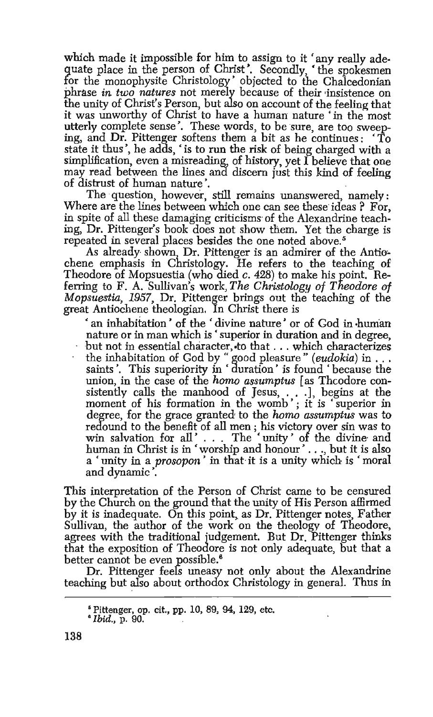which made it impossible for him to assign to it 'any really adequate place in the person of Christ'. Secondly, 'the spokesmen for the monophysite Christology' objected to the Chalcedonian phrase in *two natures* not merely because of their ·insistence on the unity of Christ's Person, but also on account of the feeling that it was unworthy of Christ to have a human nature 'in the most utterly complete sense'. These words, to be sure, are too sweeping, and Dr. Pittenger softens them a bit as he continues : 'To state it thus', he adds, 'is to run the risk of being charged with a simplification, even a misreading, of history, yet I believe that one may read between the lines and discern just this kind of feeling of distrust of human nature', .

The question, however, still remains unanswered, namely: Where are the lines between which one can see these ideas? For, in spite of all these damaging criticisms of the Alexandrine teaching, Dr. Pittenger's book does not show them. Yet the charge is repeated in several places besides the one noted above. 5

As already shown, Dr. Pittenger is an admirer of the Antiochene emphasis in Christology. He refers to the teaching of Theodore of Mopsuestia (who died *c.* 428) to make his point. Referring to F. A. Sullivan's work, The Christology of Theodore of *Mopsuestia, 1957,* Dr. Pittenger brings out the teaching of the great Antiochene theologian. In Christ there is

' an inhabitation ' of the ' divine nature' or of God in ·hunian nature or in man which is ' superior in duration and in degree, but not in essential character, to that . . . which characterizes the inhabitation of God by "good pleasure" *(eudokia)* in ... saints '. This superiority in ' duration ' is found ' because the union, in the case of the *homo assumptus* [as Theodore consistently calls the manhood of Jesus, . . . ], begins at the moment of his formation in the womb'; it is 'superior in degree, for the grace granted to the *homo assumptus* was to redound to the benefit of all men ; his victory over sin was to win salvation for all'... The 'unity' of the divine and human in Christ is in 'worship and honour' ... , but it is also a 'unity in a *prosopon'* in that it is a unity which is 'moral and dynamic '.

This interpretation of the Person of Christ came to be censured by the Church on the ground that the unity of His Person affirmed by it is inadequate. On this point, as Dr. Pittenger notes, Father Sullivan, the author of the work on the theology of Theodore, agrees with the traditional iudgement. But Dr. Pittenger thinks that the exposition of Theodore is not only adequate, but that a better cannot be even possible.<sup>6</sup>

Dr. Pittenger feels uneasy not only about the Alexandrine teaching but also about orthodox Christology in general. Thus in

<sup>•</sup> Pittenger, op. cit., pp. 10, 89, 94, 129, etc. • *Ibid.,* p. 90.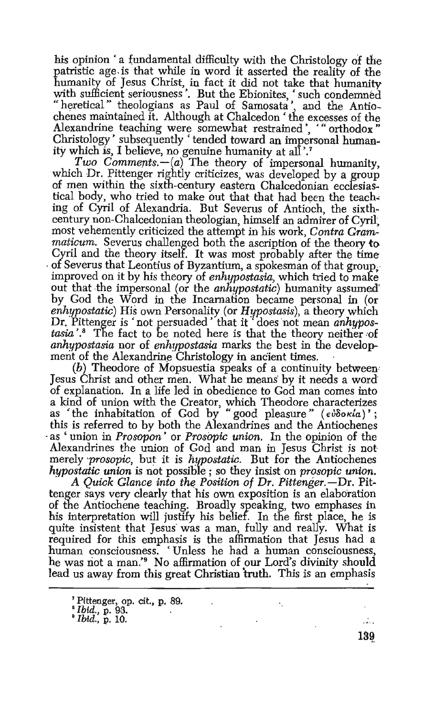his opinion ' a fundamental difficulty with the Christology of the patristic age is that while in word it asserted the reality of the humanity of Jesus Christ, in fact it did not take that humanity with sufficient seriousness '. But the Ebionites, ' such condemned "heretical" theologians as Paul of Samosata ', and the Antiochenes maintained it. Although at Chalcedon ' the excesses of the Alexandrine teaching were somewhat restrained', '" orthodox" Christology' subsequently 'tended toward an impersonal humanity which is, I believe, no genuine humanity at all'.<sup>7</sup>

*Two Comments.* $-(a)$  The theory of impersonal humanity, which Dr. Pittenger rightly criticizes, was developed by a group of men within the sixth-century eastern Chalcedonian ecclesiastical body, who tried to make out that that had been the teaching of Cyril of Alexandria. But Severus of Antioch, the sixthcentury non-Chalcedonian theologian, himself an admirer of Cyril~ most vehemently criticized the attempt in his work, *Contra Grammaticum.* Severus challenged both the ascription of the theory to Cyril and the theory itself. It was most probably after the time of Severus that Leontius of Byzantium, a spokesman of that group. improved on it by his theory of *enhypostasia,* which tried to make out that the impersonal (or the *anliypostatic)* humanity assumed' by God the Word in the Incarnation became personal in (or *enhypostatic)* His own Personality (or *H!fpostasis),* a theory which Dr. Pittenger is 'not persuaded 'that it 'does not mean *anhypos*tasia<sup>'</sup>.<sup>8</sup> The fact to be noted here is that the theory neither of *anhypostasia* nor of *enhypostasia* marks the best in the development of the Alexandrine Christology in ancient times.

(b) Theodore of Mopsuestia speaks of a continuity between· Jesus Christ and other men. What he means· by it needs a word of explanation. In a life led in obedience to God man comes into a kind of union with the Creator, which Theodore characterizes as 'the inhabitation of God by "good pleasure" (εύδοκία)'; this is referred to by both the Alexandrines and the Antiochenes<br>as ' union in *Prosopon'* or *Prosopic union*. In the opinion of the Alexandrines the union of God and man in Jesus Christ is not merely *·prosopic,* but it is *hypostatic.* But for the Antiochenes *hypostatic union* is not possible ; so they insist on *prosopic union.* 

A Quick Glance into the Position of Dr. Pittenger.-Dr. Pittenger says very clearly that his own exposition is an elaboration of the Antiochene teaching. Broadly speaking, two emphases in his interpretation will justify his belief. In the first place, he is quite insistent that Jesus was a man, fully and really. What is required for this emphasis is the affirmation that Jesus had a human consciousness. 'Unless he had a human consciousness, he was not a man.' 9 No affirmation of our Lord's divinity should lead us away from this great Christian truth. This is an emphasis

<sup>&#</sup>x27; Pittenger, op. cit., p. 89. • *Ibid.,* p. 93. . • *Ibid.,* p. 10.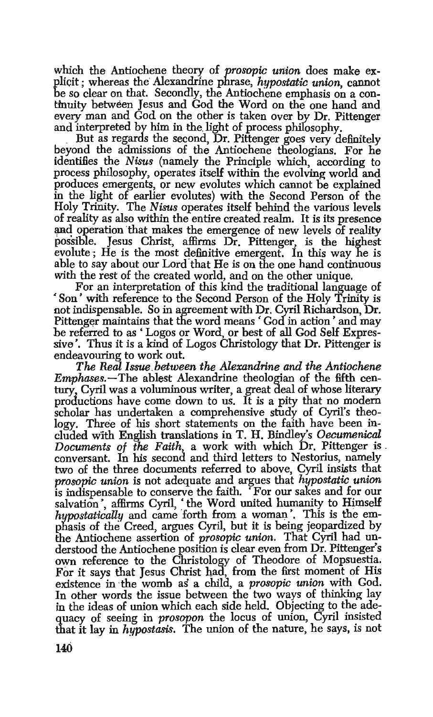which the Antiochene theory of *prosopic union* does make explicit ; whereas the' Alexandrine phrase, *hypo8tatic union,* cannot be so clear on that. Secondly, the Antiochene emphasis on a continuity between Jesus and God the Word on the one hand and every man and God on the other is taken over *by* Dr. Pittenger

But as regards the second, Dr. Pittenger goes very definitely beyond the admissions of the Antiochene theologians. For he identifies the *Nisus* (namely the Principle which, according to process philosophy, operates itself within the evolving world and produces emergents, or new evolutes which cannot be explained in the light of earlier evolutes) with the Second Person of the Holy Trinity. The *Nisus* operates itself behind the various levels of reality as also within the entire created realm. It is its presence and operation that makes the emergence of new levels of reality possible. Jesus Christ, affirms Dr. Pittenger, is the highest evolute; He is the most definitive emergent. In this way he is able to say about our Lord that He is on the one hand continuous with the rest of the created world, and on the other unique.

For an interpretation of this kind the traditional language of • Son' with reference to the Second Person of the Holy Trinity is not indispensable. So in agreement with Dr. Cyril Richardson, Dr. Pittenger maintains that the word means ' God in action' and may be referred to as' Logos or Word, or best of all God Self Expressive', Thus it is a kind of Logos Christology that Dr. Pittenger is endeavouring to work out.

*The Real Issue . between the Alexandrine and the Antiochene Emphases.-The* ablest Alexandrine theologian of the fifth century, Cyril was a voluminous writer, a great deal of whose literary productions have come down to us. It is a pity that no modem scholar has undertaken a comprehensive study of Cyril's theology. Three of his short statements on the faith have been included with English translations in T. H. Bindley's *Oecumenical Documents of the Faith* a work with which Dr. Pittenger is . conversant. In his second and third letters to Nestorius, namely two of the three documents referred to above, Cyril insists that *prosopic union* is not adequate and argues that *hypostatic union* is indispensable to conserve the faith. 'For our sakes and for our salvation', affirms Cyril, 'the Word united humanity to Himself *hypostatically* and came forth from a woman'. This is the emphasis of the Creed, argues Cyril, but it is being jeopardized by the Antiochene assertion of *prosopic union.* That Cyril had understood the Antiochene position is clear even from Dr. Pittenger's own reference to the Christology of Theodore of Mopsuestia. For it says that Jesus Christ had, from the first moment of HIS existence in ·the womb as a child, a *prosopic union* with God. In other words the issue between the two ways of thinking lay in the ideas of union which each side held. Objecting to the adequacy of seeing in *prosopon* the locus of union, Cyril insisted that it lay in *hypostasis*. The union of the nature, he says, is not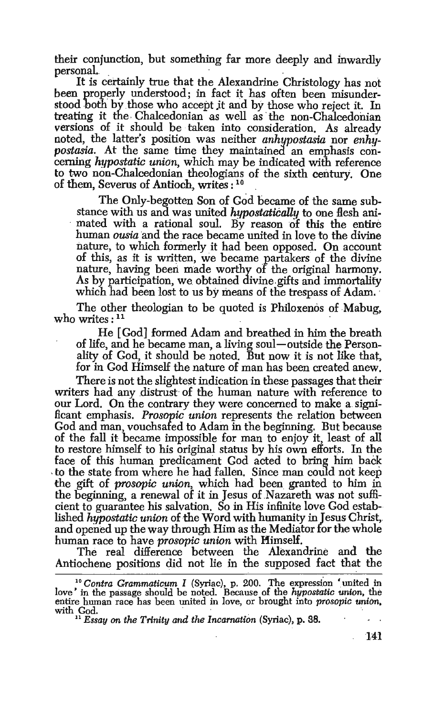their conjunction, but something far more deeply and inwardly

It is certainly true that the Alexandrine Christology has not been properly understood; in fact it has often been misunderstood both by those who accept jt and by those who reject it. In treating it the Chalcedonian as well as the non-Chalcedonian versions of it should be taken into consideration. As already noted, the latter's position was neither *anhypostasia* nor *enhypostasia.* At the same time they maintained an emphasis concerning *hypostatic union,* which may be indicated with reference to two non-Chalcedonian theologians of the sixth century. One of them, Severus of Antioch, writes : 10

The Only-begotten Son of God became of the same substance with us and was united *hypostatically* to one flesh animated with a rational soul. By reason of this the entire human *ousia* and the race became united in love to the divine nature, to which formerly it had been opposed. On account of this, as it is written, we became partakers of the divine nature, having been made worthy of the original harmony. As by participation, we obtained divine gifts and immortality which had been lost to us by means of the trespass of Adam.

The other theologian to be quoted is Philoxenos of Mabug, who writes:  $11$ 

He [God] formed Adam and breathed in him the breath of life, and he became man, a living soul-outside the Personality of God, it should be noted. But now it is not like that, for in God Himself the nature of man has been created anew.

There is not the slightest indication in these passages that their writers had any distrust of the human nature with reference to our Lord. On the contrary they were concerned to make a. significant emphasis. *Prosopic union* represents the relation between God and man, vouchsafed to Adam in the beginning. But because of the fall it became impossible for man to enjoy it, least of all to restore himself to his original status by his own efforts. In the face of this human predicament God acted to bring him back to the state from where he had fallen. Since man could not keep the gift of *prosopic union,* which had been granted to him in the beginning, a renewal of it in Jesus of Nazareth was not sufficient to guarantee his salvation. So in His infinite love God estab-<br>lished hypostatic union of the Word with humanity in Jesus Christ, and opened up the way through Him as the Mediator for the whole human race to have *prosopic union* with Himself.

The real difference between the Alexandrine and the Antiochene positions did not lie in the supposed fact that the

141

<sup>&</sup>lt;sup>10</sup> Contra Grammaticum I (Syriac), p. 200. The expression 'united in love' in the passage should be noted. Because of the *hypostatic union*, the entire human race has been united in love, or brought into *prosopic union*, with God. *Cod. i Essay on the Trinity and the Incarnation (Syriac), p. 38.*